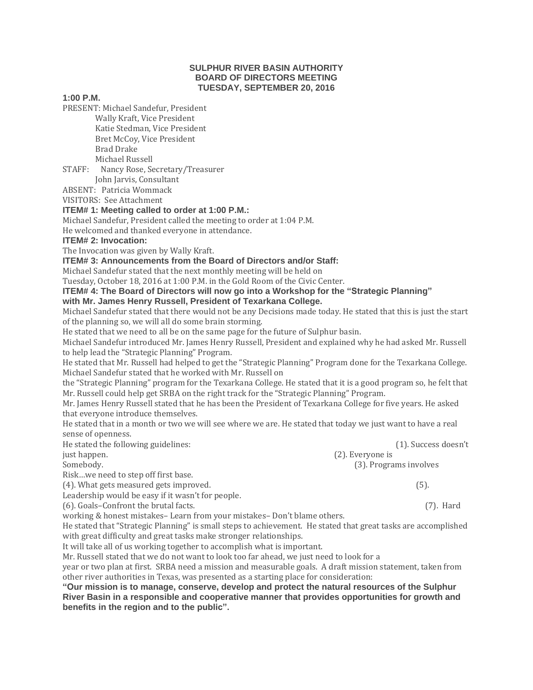### **SULPHUR RIVER BASIN AUTHORITY BOARD OF DIRECTORS MEETING TUESDAY, SEPTEMBER 20, 2016**

#### **1:00 P.M.**

PRESENT: Michael Sandefur, President

 Wally Kraft, Vice President Katie Stedman, Vice President Bret McCoy, Vice President Brad Drake Michael Russell

STAFF: Nancy Rose, Secretary/Treasurer

John Jarvis, Consultant

ABSENT: Patricia Wommack

VISITORS: See Attachment

## **ITEM# 1: Meeting called to order at 1:00 P.M.:**

Michael Sandefur, President called the meeting to order at 1:04 P.M.

He welcomed and thanked everyone in attendance.

## **ITEM# 2: Invocation:**

The Invocation was given by Wally Kraft.

**ITEM# 3: Announcements from the Board of Directors and/or Staff:**

Michael Sandefur stated that the next monthly meeting will be held on

Tuesday, October 18, 2016 at 1:00 P.M. in the Gold Room of the Civic Center.

## **ITEM# 4: The Board of Directors will now go into a Workshop for the "Strategic Planning"**

## **with Mr. James Henry Russell, President of Texarkana College.**

Michael Sandefur stated that there would not be any Decisions made today. He stated that this is just the start of the planning so, we will all do some brain storming.

He stated that we need to all be on the same page for the future of Sulphur basin.

Michael Sandefur introduced Mr. James Henry Russell, President and explained why he had asked Mr. Russell to help lead the "Strategic Planning" Program.

He stated that Mr. Russell had helped to get the "Strategic Planning" Program done for the Texarkana College. Michael Sandefur stated that he worked with Mr. Russell on

the "Strategic Planning" program for the Texarkana College. He stated that it is a good program so, he felt that Mr. Russell could help get SRBA on the right track for the "Strategic Planning" Program.

Mr. James Henry Russell stated that he has been the President of Texarkana College for five years. He asked that everyone introduce themselves.

He stated that in a month or two we will see where we are. He stated that today we just want to have a real sense of openness.

| He stated the following guidelines:               | (1). Success doesn't   |
|---------------------------------------------------|------------------------|
| just happen.                                      | (2). Everyone is       |
| Somebody.                                         | (3). Programs involves |
| Riskwe need to step off first base.               |                        |
| (4). What gets measured gets improved.            | (5).                   |
| Leadership would be easy if it wasn't for people. |                        |
| (6). Goals-Confront the brutal facts.             | $(7)$ . Hard           |

working & honest mistakes– Learn from your mistakes– Don't blame others.

He stated that "Strategic Planning" is small steps to achievement. He stated that great tasks are accomplished with great difficulty and great tasks make stronger relationships.

It will take all of us working together to accomplish what is important.

Mr. Russell stated that we do not want to look too far ahead, we just need to look for a

year or two plan at first. SRBA need a mission and measurable goals. A draft mission statement, taken from other river authorities in Texas, was presented as a starting place for consideration:

**"Our mission is to manage, conserve, develop and protect the natural resources of the Sulphur River Basin in a responsible and cooperative manner that provides opportunities for growth and benefits in the region and to the public".**